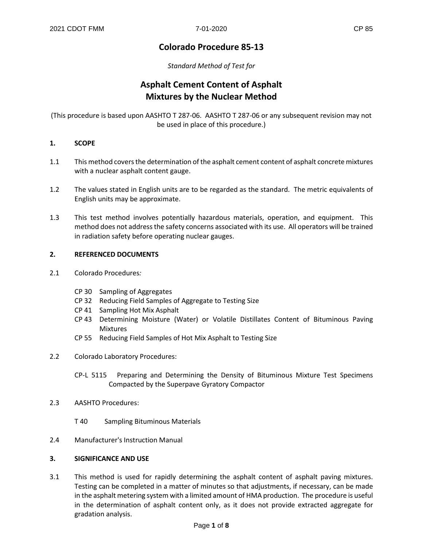# **Colorado Procedure 85-13**

# *Standard Method of Test for*

# **Asphalt Cement Content of Asphalt Mixtures by the Nuclear Method**

(This procedure is based upon AASHTO T 287-06. AASHTO T 287-06 or any subsequent revision may not be used in place of this procedure.)

# **1. SCOPE**

- 1.1 This method covers the determination of the asphalt cement content of asphalt concrete mixtures with a nuclear asphalt content gauge.
- 1.2 The values stated in English units are to be regarded as the standard. The metric equivalents of English units may be approximate.
- 1.3 This test method involves potentially hazardous materials, operation, and equipment. This method does not address the safety concerns associated with its use. All operators will be trained in radiation safety before operating nuclear gauges.

# **2. REFERENCED DOCUMENTS**

- 2.1 Colorado Procedures*:*
	- CP 30 Sampling of Aggregates
	- CP 32 Reducing Field Samples of Aggregate to Testing Size
	- CP 41 Sampling Hot Mix Asphalt
	- CP 43 Determining Moisture (Water) or Volatile Distillates Content of Bituminous Paving Mixtures
	- CP 55 Reducing Field Samples of Hot Mix Asphalt to Testing Size
- 2.2 Colorado Laboratory Procedures:
	- CP-L 5115 Preparing and Determining the Density of Bituminous Mixture Test Specimens Compacted by the Superpave Gyratory Compactor
- 2.3 AASHTO Procedures:
	- T 40 Sampling Bituminous Materials
- 2.4 Manufacturer's Instruction Manual

#### **3. SIGNIFICANCE AND USE**

3.1 This method is used for rapidly determining the asphalt content of asphalt paving mixtures. Testing can be completed in a matter of minutes so that adjustments, if necessary, can be made in the asphalt metering system with a limited amount of HMA production. The procedure is useful in the determination of asphalt content only, as it does not provide extracted aggregate for gradation analysis.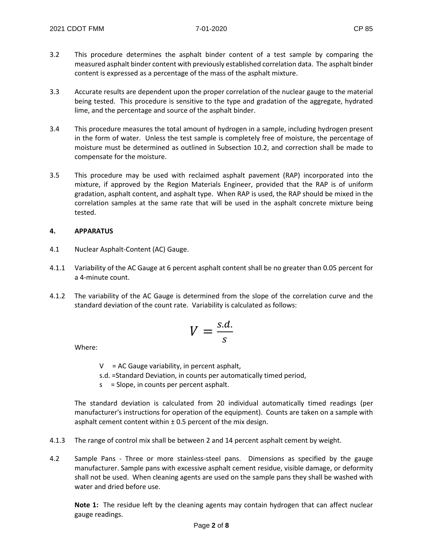- 3.2 This procedure determines the asphalt binder content of a test sample by comparing the measured asphalt binder content with previously established correlation data. The asphalt binder content is expressed as a percentage of the mass of the asphalt mixture.
- 3.3 Accurate results are dependent upon the proper correlation of the nuclear gauge to the material being tested. This procedure is sensitive to the type and gradation of the aggregate, hydrated lime, and the percentage and source of the asphalt binder.
- 3.4 This procedure measures the total amount of hydrogen in a sample, including hydrogen present in the form of water. Unless the test sample is completely free of moisture, the percentage of moisture must be determined as outlined in Subsection 10.2, and correction shall be made to compensate for the moisture.
- 3.5 This procedure may be used with reclaimed asphalt pavement (RAP) incorporated into the mixture, if approved by the Region Materials Engineer, provided that the RAP is of uniform gradation, asphalt content, and asphalt type. When RAP is used, the RAP should be mixed in the correlation samples at the same rate that will be used in the asphalt concrete mixture being tested.

# **4. APPARATUS**

- 4.1 Nuclear Asphalt-Content (AC) Gauge.
- 4.1.1 Variability of the AC Gauge at 6 percent asphalt content shall be no greater than 0.05 percent for a 4-minute count.
- 4.1.2 The variability of the AC Gauge is determined from the slope of the correlation curve and the standard deviation of the count rate. Variability is calculated as follows:

$$
V=\frac{s.d.}{s}
$$

Where:

- $V = AC$  Gauge variability, in percent asphalt,
- s.d. =Standard Deviation, in counts per automatically timed period,
- $s =$  Slope, in counts per percent asphalt.

The standard deviation is calculated from 20 individual automatically timed readings (per manufacturer's instructions for operation of the equipment). Counts are taken on a sample with asphalt cement content within  $\pm$  0.5 percent of the mix design.

- 4.1.3 The range of control mix shall be between 2 and 14 percent asphalt cement by weight.
- 4.2 Sample Pans Three or more stainless-steel pans. Dimensions as specified by the gauge manufacturer. Sample pans with excessive asphalt cement residue, visible damage, or deformity shall not be used. When cleaning agents are used on the sample pans they shall be washed with water and dried before use.

**Note 1:** The residue left by the cleaning agents may contain hydrogen that can affect nuclear gauge readings.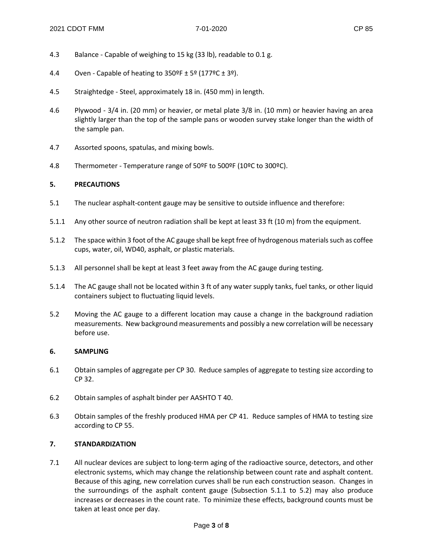- 4.3 Balance Capable of weighing to 15 kg (33 lb), readable to 0.1 g.
- 4.4 Oven Capable of heating to  $350^\circ$ F ± 5 $\circ$  (177 $\circ$ C ± 3 $\circ$ ).
- 4.5 Straightedge Steel, approximately 18 in. (450 mm) in length.
- 4.6 Plywood 3/4 in. (20 mm) or heavier, or metal plate 3/8 in. (10 mm) or heavier having an area slightly larger than the top of the sample pans or wooden survey stake longer than the width of the sample pan.
- 4.7 Assorted spoons, spatulas, and mixing bowls.
- 4.8 Thermometer Temperature range of 50ºF to 500ºF (10ºC to 300ºC).

# **5. PRECAUTIONS**

- 5.1 The nuclear asphalt-content gauge may be sensitive to outside influence and therefore:
- 5.1.1 Any other source of neutron radiation shall be kept at least 33 ft (10 m) from the equipment.
- 5.1.2 The space within 3 foot of the AC gauge shall be kept free of hydrogenous materials such as coffee cups, water, oil, WD40, asphalt, or plastic materials.
- 5.1.3 All personnel shall be kept at least 3 feet away from the AC gauge during testing.
- 5.1.4 The AC gauge shall not be located within 3 ft of any water supply tanks, fuel tanks, or other liquid containers subject to fluctuating liquid levels.
- 5.2 Moving the AC gauge to a different location may cause a change in the background radiation measurements. New background measurements and possibly a new correlation will be necessary before use.

## **6. SAMPLING**

- 6.1 Obtain samples of aggregate per CP 30. Reduce samples of aggregate to testing size according to CP 32.
- 6.2 Obtain samples of asphalt binder per AASHTO T 40.
- 6.3 Obtain samples of the freshly produced HMA per CP 41. Reduce samples of HMA to testing size according to CP 55.

# **7. STANDARDIZATION**

7.1 All nuclear devices are subject to long-term aging of the radioactive source, detectors, and other electronic systems, which may change the relationship between count rate and asphalt content. Because of this aging, new correlation curves shall be run each construction season. Changes in the surroundings of the asphalt content gauge (Subsection 5.1.1 to 5.2) may also produce increases or decreases in the count rate. To minimize these effects, background counts must be taken at least once per day.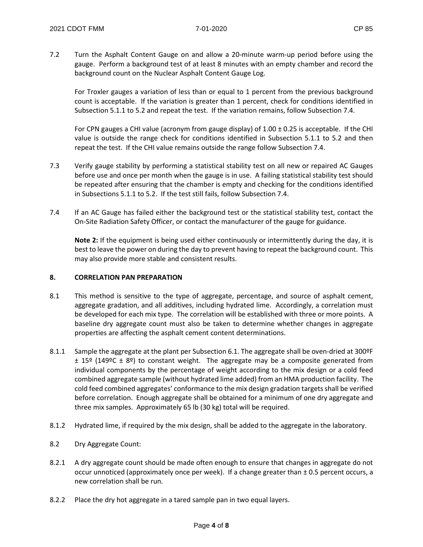7.2 Turn the Asphalt Content Gauge on and allow a 20-minute warm-up period before using the gauge. Perform a background test of at least 8 minutes with an empty chamber and record the background count on the Nuclear Asphalt Content Gauge Log.

For Troxler gauges a variation of less than or equal to 1 percent from the previous background count is acceptable. If the variation is greater than 1 percent, check for conditions identified in Subsection 5.1.1 to 5.2 and repeat the test. If the variation remains, follow Subsection 7.4.

For CPN gauges a CHI value (acronym from gauge display) of 1.00 ± 0.25 is acceptable. If the CHI value is outside the range check for conditions identified in Subsection 5.1.1 to 5.2 and then repeat the test. If the CHI value remains outside the range follow Subsection 7.4.

- 7.3 Verify gauge stability by performing a statistical stability test on all new or repaired AC Gauges before use and once per month when the gauge is in use. A failing statistical stability test should be repeated after ensuring that the chamber is empty and checking for the conditions identified in Subsections 5.1.1 to 5.2. If the test still fails, follow Subsection 7.4.
- 7.4 If an AC Gauge has failed either the background test or the statistical stability test, contact the On-Site Radiation Safety Officer, or contact the manufacturer of the gauge for guidance.

**Note 2:** If the equipment is being used either continuously or intermittently during the day, it is best to leave the power on during the day to prevent having to repeat the background count. This may also provide more stable and consistent results.

## **8. CORRELATION PAN PREPARATION**

- 8.1 This method is sensitive to the type of aggregate, percentage, and source of asphalt cement, aggregate gradation, and all additives, including hydrated lime. Accordingly, a correlation must be developed for each mix type. The correlation will be established with three or more points. A baseline dry aggregate count must also be taken to determine whether changes in aggregate properties are affecting the asphalt cement content determinations.
- 8.1.1 Sample the aggregate at the plant per Subsection 6.1. The aggregate shall be oven-dried at 300ºF  $\pm$  15<sup>o</sup> (149<sup>o</sup>C  $\pm$  8<sup>o</sup>) to constant weight. The aggregate may be a composite generated from individual components by the percentage of weight according to the mix design or a cold feed combined aggregate sample (without hydrated lime added) from an HMA production facility. The cold feed combined aggregates' conformance to the mix design gradation targets shall be verified before correlation. Enough aggregate shall be obtained for a minimum of one dry aggregate and three mix samples. Approximately 65 lb (30 kg) total will be required.
- 8.1.2 Hydrated lime, if required by the mix design, shall be added to the aggregate in the laboratory.
- 8.2 Dry Aggregate Count:
- 8.2.1 A dry aggregate count should be made often enough to ensure that changes in aggregate do not occur unnoticed (approximately once per week). If a change greater than ± 0.5 percent occurs, a new correlation shall be run.
- 8.2.2 Place the dry hot aggregate in a tared sample pan in two equal layers.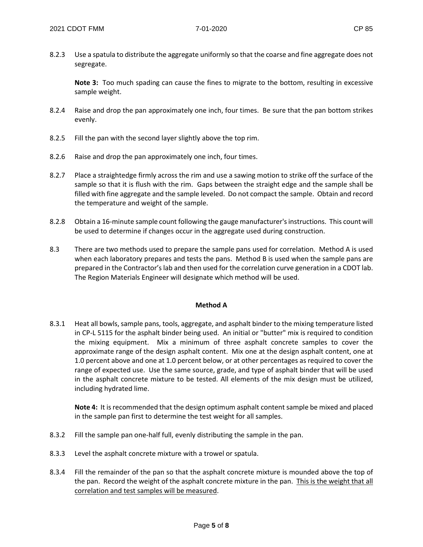8.2.3 Use a spatula to distribute the aggregate uniformly so that the coarse and fine aggregate does not segregate.

**Note 3:** Too much spading can cause the fines to migrate to the bottom, resulting in excessive sample weight.

- 8.2.4 Raise and drop the pan approximately one inch, four times. Be sure that the pan bottom strikes evenly.
- 8.2.5 Fill the pan with the second layer slightly above the top rim.
- 8.2.6 Raise and drop the pan approximately one inch, four times.
- 8.2.7 Place a straightedge firmly across the rim and use a sawing motion to strike off the surface of the sample so that it is flush with the rim. Gaps between the straight edge and the sample shall be filled with fine aggregate and the sample leveled. Do not compact the sample. Obtain and record the temperature and weight of the sample.
- 8.2.8 Obtain a 16-minute sample count following the gauge manufacturer's instructions. This count will be used to determine if changes occur in the aggregate used during construction.
- 8.3 There are two methods used to prepare the sample pans used for correlation. Method A is used when each laboratory prepares and tests the pans. Method B is used when the sample pans are prepared in the Contractor'slab and then used for the correlation curve generation in a CDOT lab. The Region Materials Engineer will designate which method will be used.

## **Method A**

8.3.1 Heat all bowls, sample pans, tools, aggregate, and asphalt binder to the mixing temperature listed in CP-L 5115 for the asphalt binder being used. An initial or "butter" mix is required to condition the mixing equipment. Mix a minimum of three asphalt concrete samples to cover the approximate range of the design asphalt content. Mix one at the design asphalt content, one at 1.0 percent above and one at 1.0 percent below, or at other percentages as required to cover the range of expected use. Use the same source, grade, and type of asphalt binder that will be used in the asphalt concrete mixture to be tested. All elements of the mix design must be utilized, including hydrated lime.

**Note 4:** It is recommended that the design optimum asphalt content sample be mixed and placed in the sample pan first to determine the test weight for all samples.

- 8.3.2 Fill the sample pan one-half full, evenly distributing the sample in the pan.
- 8.3.3 Level the asphalt concrete mixture with a trowel or spatula.
- 8.3.4 Fill the remainder of the pan so that the asphalt concrete mixture is mounded above the top of the pan. Record the weight of the asphalt concrete mixture in the pan. This is the weight that all correlation and test samples will be measured.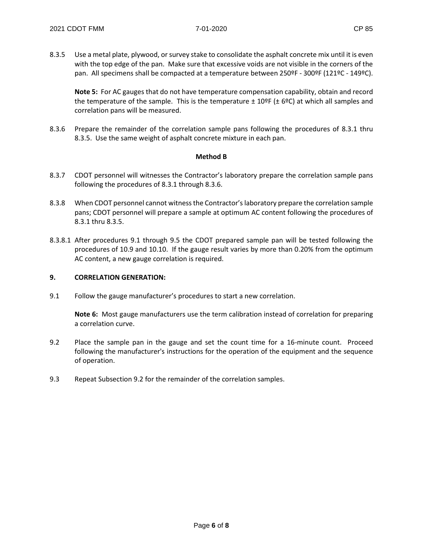8.3.5 Use a metal plate, plywood, or survey stake to consolidate the asphalt concrete mix until it is even with the top edge of the pan. Make sure that excessive voids are not visible in the corners of the pan. All specimens shall be compacted at a temperature between 250ºF - 300ºF (121ºC - 149ºC).

**Note 5:** For AC gauges that do not have temperature compensation capability, obtain and record the temperature of the sample. This is the temperature  $\pm$  10°F ( $\pm$  6°C) at which all samples and correlation pans will be measured.

8.3.6 Prepare the remainder of the correlation sample pans following the procedures of 8.3.1 thru 8.3.5. Use the same weight of asphalt concrete mixture in each pan.

#### **Method B**

- 8.3.7 CDOT personnel will witnesses the Contractor's laboratory prepare the correlation sample pans following the procedures of 8.3.1 through 8.3.6.
- 8.3.8 When CDOT personnel cannot witness the Contractor's laboratory prepare the correlation sample pans; CDOT personnel will prepare a sample at optimum AC content following the procedures of 8.3.1 thru 8.3.5.
- 8.3.8.1 After procedures 9.1 through 9.5 the CDOT prepared sample pan will be tested following the procedures of 10.9 and 10.10. If the gauge result varies by more than 0.20% from the optimum AC content, a new gauge correlation is required.

## **9. CORRELATION GENERATION:**

9.1 Follow the gauge manufacturer's procedures to start a new correlation.

**Note 6:** Most gauge manufacturers use the term calibration instead of correlation for preparing a correlation curve.

- 9.2 Place the sample pan in the gauge and set the count time for a 16-minute count. Proceed following the manufacturer's instructions for the operation of the equipment and the sequence of operation.
- 9.3 Repeat Subsection 9.2 for the remainder of the correlation samples.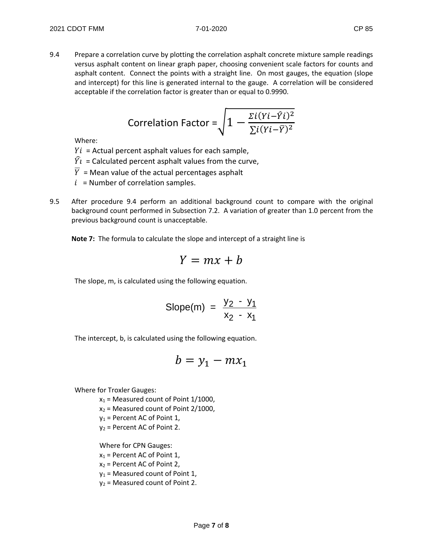9.4 Prepare a correlation curve by plotting the correlation asphalt concrete mixture sample readings versus asphalt content on linear graph paper, choosing convenient scale factors for counts and asphalt content. Connect the points with a straight line. On most gauges, the equation (slope and intercept) for this line is generated internal to the gauge. A correlation will be considered acceptable if the correlation factor is greater than or equal to 0.9990.

Correlation Factor = 
$$
\sqrt{1 - \frac{\Sigma i (Yi - \hat{Y}i)^2}{\Sigma i (Yi - \bar{Y})^2}}
$$

Where:

 $Y_i$  = Actual percent asphalt values for each sample,

- $\widehat{Y}_l$  = Calculated percent asphalt values from the curve,
- $\overline{Y}$  = Mean value of the actual percentages asphalt
- $i =$  Number of correlation samples.
- 9.5 After procedure 9.4 perform an additional background count to compare with the original background count performed in Subsection 7.2. A variation of greater than 1.0 percent from the previous background count is unacceptable.

**Note 7:** The formula to calculate the slope and intercept of a straight line is

$$
Y = mx + b
$$

The slope, m, is calculated using the following equation.

Slope(m) = 
$$
\frac{y_2 - y_1}{x_2 - x_1}
$$

The intercept, b, is calculated using the following equation.

$$
b=y_1-mx_1
$$

Where for Troxler Gauges:

 $x_1$  = Measured count of Point 1/1000,

- $x_2$  = Measured count of Point 2/1000,
- $y_1$  = Percent AC of Point 1,
- $y_2$  = Percent AC of Point 2.

Where for CPN Gauges:

 $x_1$  = Percent AC of Point 1,

- $x_2$  = Percent AC of Point 2,
- $y_1$  = Measured count of Point 1,

 $y_2$  = Measured count of Point 2.